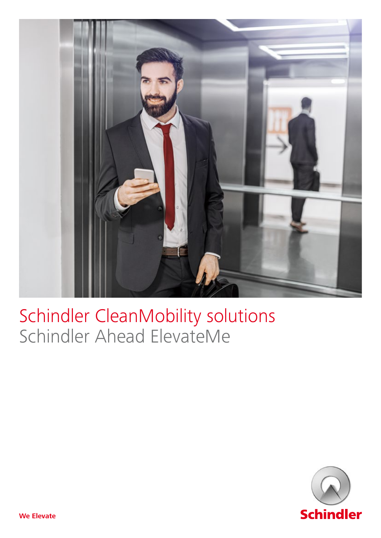

## Schindler CleanMobility solutions Schindler Ahead ElevateMe

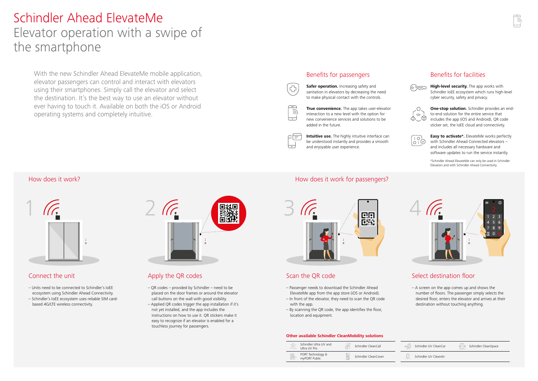### **Other available Schindler CleanMobility solutions**

| -. 이<br>$\leftarrow$ | Schindler Ultra UV and<br>Ultra UV Pro | Schindler CleanCall  |
|----------------------|----------------------------------------|----------------------|
| F                    | PORT Technology &<br>myPORT Public     | Schindler CleanCover |



| $\Rightarrow \hat{S}$  | Schindler UV CleanCar | Schindler CleanSpace |
|------------------------|-----------------------|----------------------|
| UV-C<br>$\overline{a}$ | Schindler UV CleanAir |                      |
|                        |                       |                      |

**Safer operation.** Increasing safety and sanitation in elevators by decreasing the need to make physical contact with the controls.

## Benefits for passengers



 $\overline{\partial}$ 

ct=

₩

⊢⊷

**True convenience.** The app takes user-elevator interaction to a new level with the option for new convenience services and solutions to be added in the future.

**Intuitive use.** The highly intuitive interface can be understood instantly and provides a smooth and enjoyable user experience.



## Benefits for facilities



**High-level security.** The app works with Schindler IoEE ecosystem which runs high-level cyber security, safety and privacy.



**One-stop solution.** Schindler provides an endto-end solution for the entire service that includes the app (iOS and Android), QR code sticker set, the IoEE cloud and connectivity.



**Easy to activate\*.** ElevateMe works perfectly with Schindler Ahead Connected elevators – and includes all necessary hardware and software updates to run the service instantly.

# Schindler Ahead ElevateMe Elevator operation with a swipe of the smartphone

With the new Schindler Ahead ElevateMe mobile application, elevator passengers can control and interact with elevators using their smartphones. Simply call the elevator and select the destination. It's the best way to use an elevator without ever having to touch it. Available on both the iOS or Android operating systems and completely intuitive.

## Connect the unit

- Units need to be connected to Schindler's IoEE ecosystem using Schindler Ahead Connectivity.
- Schindler's IoEE ecosystem uses reliable SIM cardbased 4G/LTE wireless connectivity.



## Apply the QR codes

- QR codes provided by Schindler need to be placed on the door frames or around the elevator call buttons on the wall with good visibility.
- Applied QR codes trigger the app installation if it's not yet installed, and the app includes the instructions on how to use it. QR stickers make it easy to recognize if an elevator is enabled for a touchless journey for passengers.

## How does it work? How does it work?

## Scan the QR code

- Passenger needs to download the Schindler Ahead ElevateMe app from the app store (iOS or Android).
- In front of the elevator, they need to scan the QR code with the app.
- By scanning the QR code, the app identifies the floor, location and equipment.

## Select destination floor

– A screen on the app comes up and shows the number of floors. The passenger simply selects the desired floor, enters the elevator and arrives at their destination without touching anything.



\*Schindler Ahead ElevateMe can only be used in Schindler Elevators and with Schindler Ahead Connectivity.